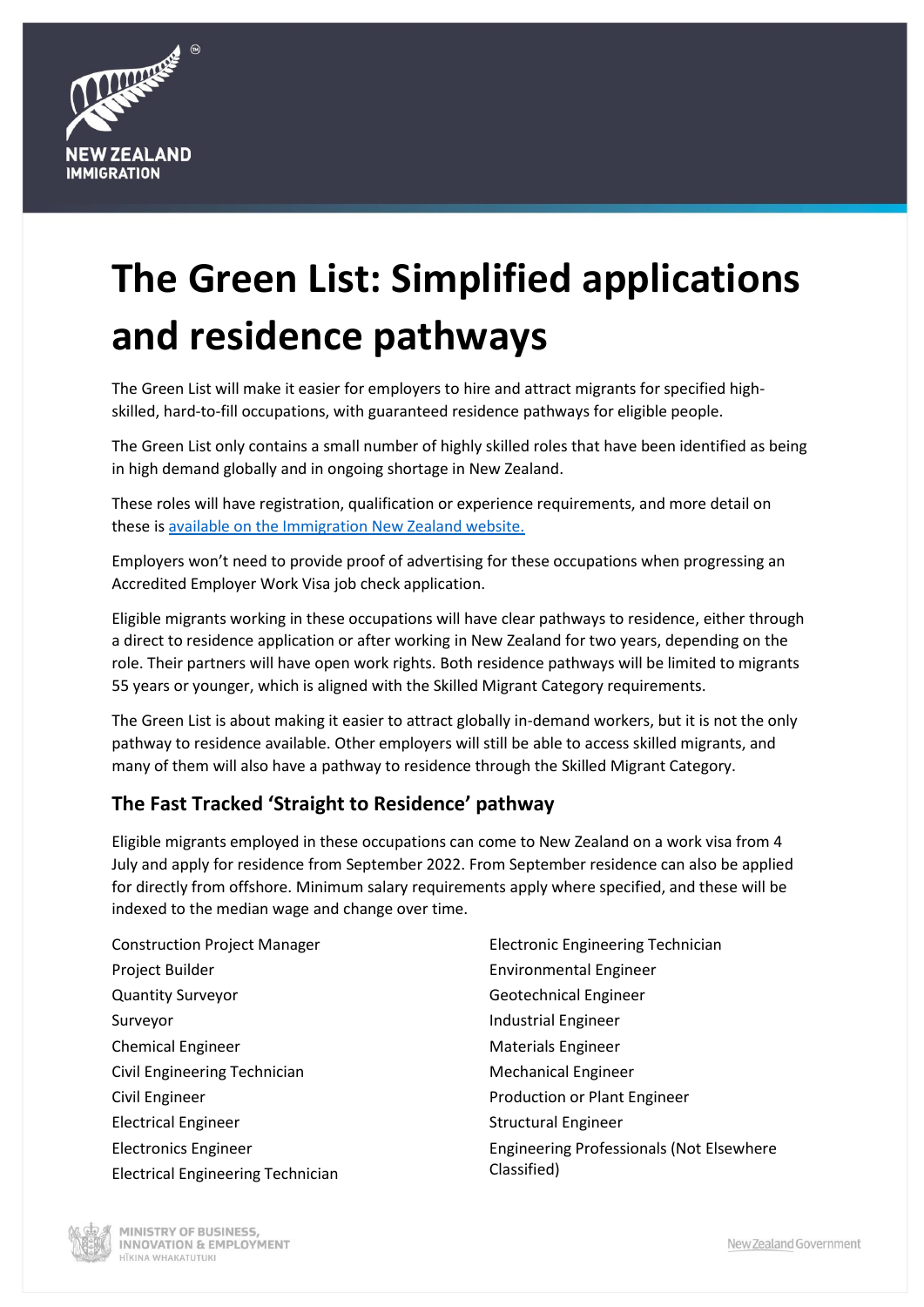

# **The Green List: Simplified applications and residence pathways**

The Green List will make it easier for employers to hire and attract migrants for specified highskilled, hard-to-fill occupations, with guaranteed residence pathways for eligible people.

The Green List only contains a small number of highly skilled roles that have been identified as being in high demand globally and in ongoing shortage in New Zealand.

These roles will have registration, qualification or experience requirements, and more detail on these i[s available on the Immigration New Zealand website.](https://www.immigration.govt.nz/new-zealand-visas/apply-for-a-visa/tools-and-information/work-and-employment/green-list-occupations)

Employers won't need to provide proof of advertising for these occupations when progressing an Accredited Employer Work Visa job check application.

Eligible migrants working in these occupations will have clear pathways to residence, either through a direct to residence application or after working in New Zealand for two years, depending on the role. Their partners will have open work rights. Both residence pathways will be limited to migrants 55 years or younger, which is aligned with the Skilled Migrant Category requirements.

The Green List is about making it easier to attract globally in-demand workers, but it is not the only pathway to residence available. Other employers will still be able to access skilled migrants, and many of them will also have a pathway to residence through the Skilled Migrant Category.

## **The Fast Tracked 'Straight to Residence' pathway**

Eligible migrants employed in these occupations can come to New Zealand on a work visa from 4 July and apply for residence from September 2022. From September residence can also be applied for directly from offshore. Minimum salary requirements apply where specified, and these will be indexed to the median wage and change over time.

Construction Project Manager Project Builder Quantity Surveyor Surveyor Chemical Engineer Civil Engineering Technician Civil Engineer Electrical Engineer Electronics Engineer Electrical Engineering Technician

Electronic Engineering Technician Environmental Engineer Geotechnical Engineer Industrial Engineer Materials Engineer Mechanical Engineer Production or Plant Engineer Structural Engineer Engineering Professionals (Not Elsewhere Classified)

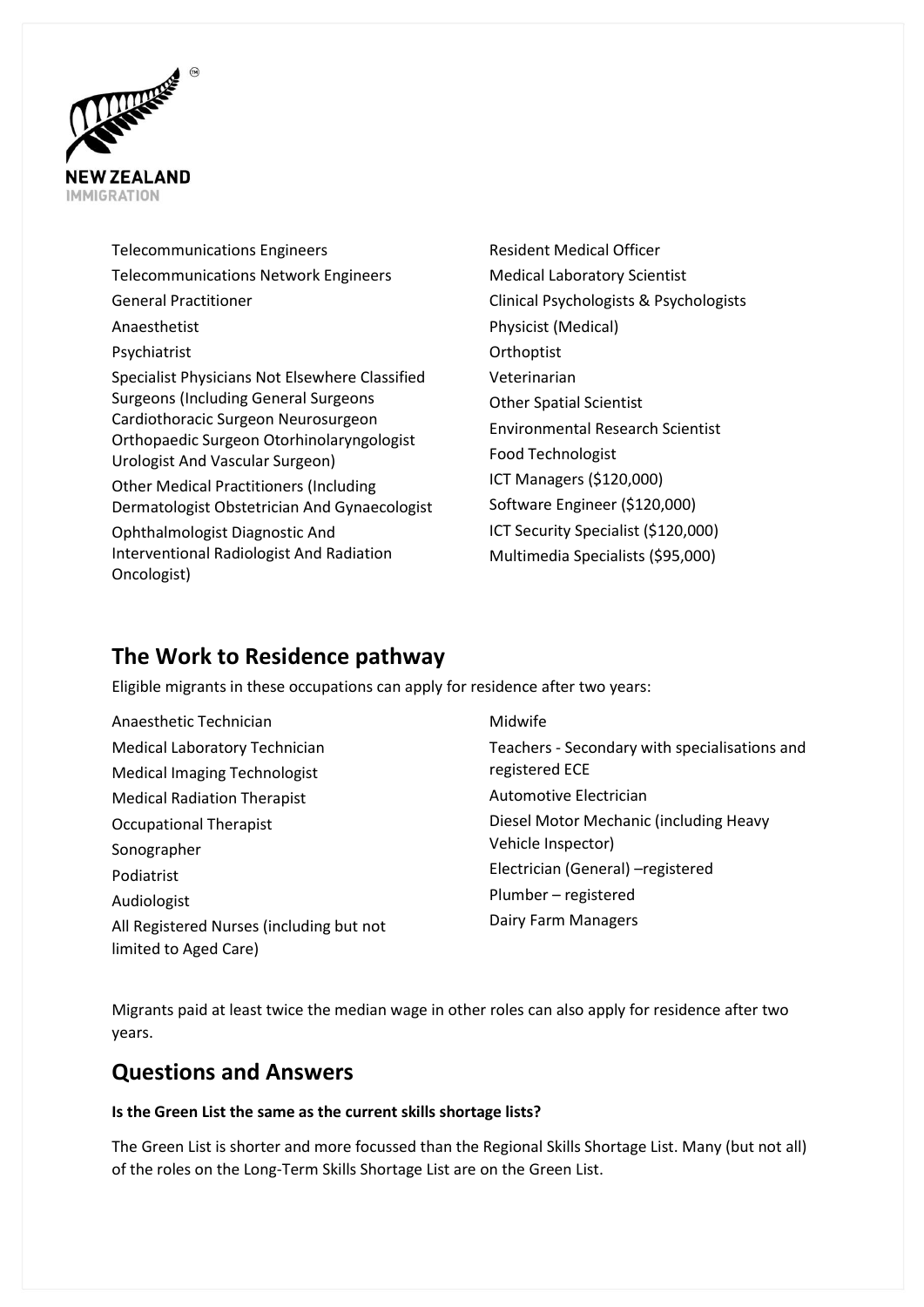

- Telecommunications Engineers Telecommunications Network Engineers General Practitioner Anaesthetist Psychiatrist Specialist Physicians Not Elsewhere Classified Surgeons (Including General Surgeons Cardiothoracic Surgeon Neurosurgeon Orthopaedic Surgeon Otorhinolaryngologist Urologist And Vascular Surgeon) Other Medical Practitioners (Including Dermatologist Obstetrician And Gynaecologist Ophthalmologist Diagnostic And Interventional Radiologist And Radiation Oncologist) **Orthoptist** Veterinarian
	- Resident Medical Officer Medical Laboratory Scientist Clinical Psychologists & Psychologists Physicist (Medical) Other Spatial Scientist Environmental Research Scientist Food Technologist ICT Managers (\$120,000) Software Engineer (\$120,000) ICT Security Specialist (\$120,000) Multimedia Specialists (\$95,000)

## **The Work to Residence pathway**

Eligible migrants in these occupations can apply for residence after two years:

Anaesthetic Technician Medical Laboratory Technician Medical Imaging Technologist Medical Radiation Therapist Occupational Therapist Sonographer Podiatrist Audiologist All Registered Nurses (including but not limited to Aged Care)

Midwife Teachers - Secondary with specialisations and registered ECE Automotive Electrician Diesel Motor Mechanic (including Heavy Vehicle Inspector) Electrician (General) –registered Plumber – registered Dairy Farm Managers

Migrants paid at least twice the median wage in other roles can also apply for residence after two years.

## **Questions and Answers**

#### **Is the Green List the same as the current skills shortage lists?**

The Green List is shorter and more focussed than the Regional Skills Shortage List. Many (but not all) of the roles on the Long-Term Skills Shortage List are on the Green List.